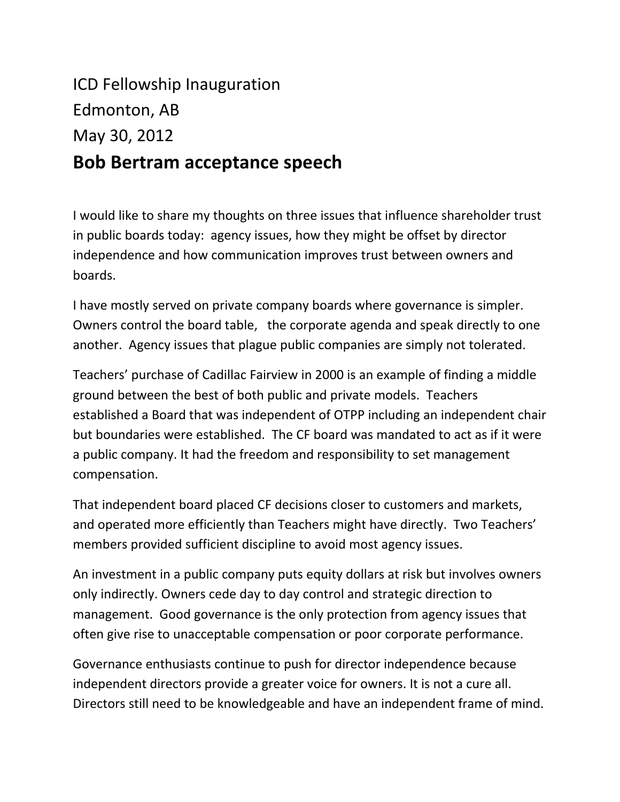## ICD Fellowship Inauguration Edmonton, AB May 30, 2012 **Bob Bertram acceptance speech**

I would like to share my thoughts on three issues that influence shareholder trust in public boards today: agency issues, how they might be offset by director independence and how communication improves trust between owners and boards.

I have mostly served on private company boards where governance is simpler. Owners control the board table, the corporate agenda and speak directly to one another. Agency issues that plague public companies are simply not tolerated.

Teachers' purchase of Cadillac Fairview in 2000 is an example of finding a middle ground between the best of both public and private models. Teachers established a Board that was independent of OTPP including an independent chair but boundaries were established. The CF board was mandated to act as if it were a public company. It had the freedom and responsibility to set management compensation.

That independent board placed CF decisions closer to customers and markets, and operated more efficiently than Teachers might have directly. Two Teachers' members provided sufficient discipline to avoid most agency issues.

An investment in a public company puts equity dollars at risk but involves owners only indirectly. Owners cede day to day control and strategic direction to management. Good governance is the only protection from agency issues that often give rise to unacceptable compensation or poor corporate performance.

Governance enthusiasts continue to push for director independence because independent directors provide a greater voice for owners. It is not a cure all. Directors still need to be knowledgeable and have an independent frame of mind.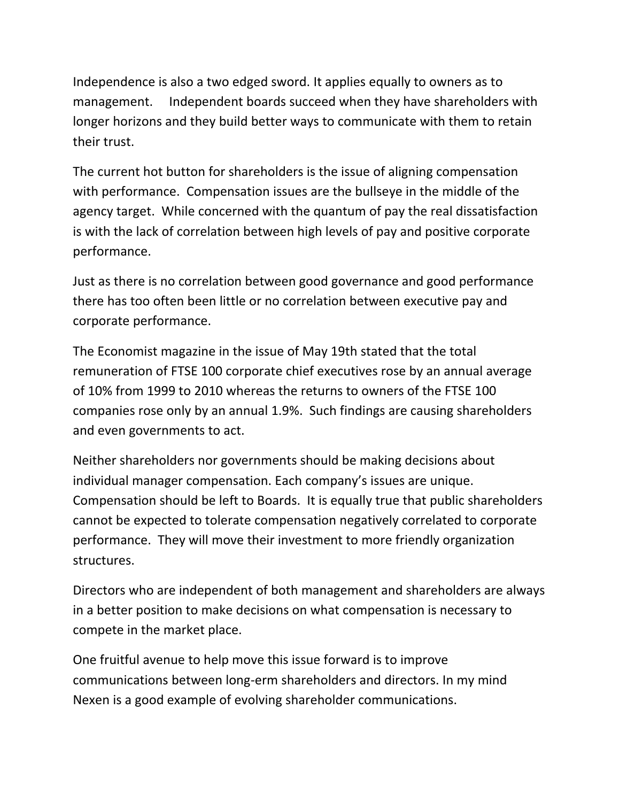Independence is also a two edged sword. It applies equally to owners as to management. Independent boards succeed when they have shareholders with longer horizons and they build better ways to communicate with them to retain their trust.

The current hot button for shareholders is the issue of aligning compensation with performance. Compensation issues are the bullseye in the middle of the agency target. While concerned with the quantum of pay the real dissatisfaction is with the lack of correlation between high levels of pay and positive corporate performance.

Just as there is no correlation between good governance and good performance there has too often been little or no correlation between executive pay and corporate performance.

The Economist magazine in the issue of May 19th stated that the total remuneration of FTSE 100 corporate chief executives rose by an annual average of 10% from 1999 to 2010 whereas the returns to owners of the FTSE 100 companies rose only by an annual 1.9%. Such findings are causing shareholders and even governments to act.

Neither shareholders nor governments should be making decisions about individual manager compensation. Each company's issues are unique. Compensation should be left to Boards. It is equally true that public shareholders cannot be expected to tolerate compensation negatively correlated to corporate performance. They will move their investment to more friendly organization structures.

Directors who are independent of both management and shareholders are always in a better position to make decisions on what compensation is necessary to compete in the market place.

One fruitful avenue to help move this issue forward is to improve communications between long‐erm shareholders and directors. In my mind Nexen is a good example of evolving shareholder communications.